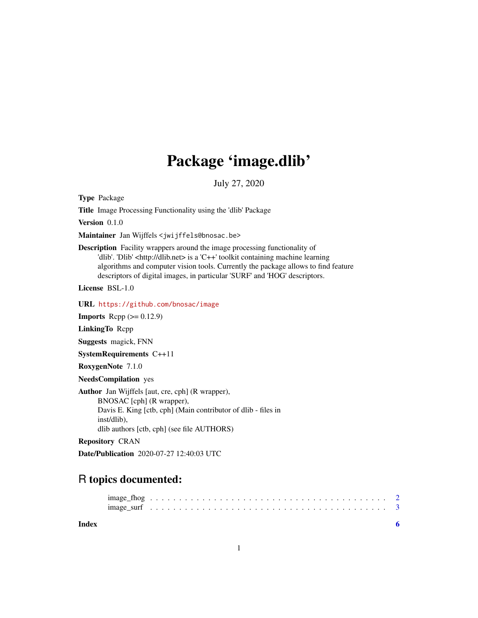## Package 'image.dlib'

July 27, 2020

Type Package

Title Image Processing Functionality using the 'dlib' Package

Version 0.1.0

Maintainer Jan Wijffels <jwijffels@bnosac.be>

Description Facility wrappers around the image processing functionality of 'dlib'. 'Dlib' <http://dlib.net> is a 'C++' toolkit containing machine learning algorithms and computer vision tools. Currently the package allows to find feature descriptors of digital images, in particular 'SURF' and 'HOG' descriptors.

License BSL-1.0

URL <https://github.com/bnosac/image>

**Imports** Rcpp  $(>= 0.12.9)$ 

LinkingTo Rcpp

Suggests magick, FNN

SystemRequirements C++11

RoxygenNote 7.1.0

NeedsCompilation yes

Author Jan Wijffels [aut, cre, cph] (R wrapper), BNOSAC [cph] (R wrapper), Davis E. King [ctb, cph] (Main contributor of dlib - files in inst/dlib), dlib authors [ctb, cph] (see file AUTHORS)

Repository CRAN

Date/Publication 2020-07-27 12:40:03 UTC

### R topics documented:

**Index** [6](#page-5-0) **6**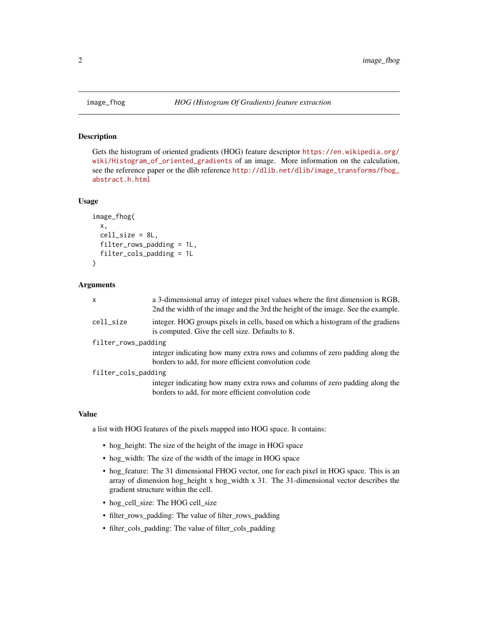#### Description

Gets the histogram of oriented gradients (HOG) feature descriptor [https://en.wikipedia.org/](https://en.wikipedia.org/wiki/Histogram_of_oriented_gradients) [wiki/Histogram\\_of\\_oriented\\_gradients](https://en.wikipedia.org/wiki/Histogram_of_oriented_gradients) of an image. More information on the calculation, see the reference paper or the dlib reference [http://dlib.net/dlib/image\\_transforms/fhog\\_](http://dlib.net/dlib/image_transforms/fhog_abstract.h.html) [abstract.h.html](http://dlib.net/dlib/image_transforms/fhog_abstract.h.html)

#### Usage

```
image_fhog(
  x,
 cell_size = 8L,
  filter_rows_padding = 1L,
  filter_cols_padding = 1L
)
```
#### Arguments

| $\mathsf{x}$        | a 3-dimensional array of integer pixel values where the first dimension is RGB,<br>2nd the width of the image and the 3rd the height of the image. See the example. |
|---------------------|---------------------------------------------------------------------------------------------------------------------------------------------------------------------|
| cell_size           | integer. HOG groups pixels in cells, based on which a histogram of the gradiens<br>is computed. Give the cell size. Defaults to 8.                                  |
| filter_rows_padding |                                                                                                                                                                     |
|                     | integer indicating how many extra rows and columns of zero padding along the<br>borders to add, for more efficient convolution code                                 |
| filter_cols_padding |                                                                                                                                                                     |
|                     | integer indicating how many extra rows and columns of zero padding along the                                                                                        |
|                     | borders to add, for more efficient convolution code                                                                                                                 |

#### Value

a list with HOG features of the pixels mapped into HOG space. It contains:

- hog\_height: The size of the height of the image in HOG space
- hog\_width: The size of the width of the image in HOG space
- hog\_feature: The 31 dimensional FHOG vector, one for each pixel in HOG space. This is an array of dimension hog\_height x hog\_width x 31. The 31-dimensional vector describes the gradient structure within the cell.
- hog\_cell\_size: The HOG cell\_size
- filter\_rows\_padding: The value of filter\_rows\_padding
- filter\_cols\_padding: The value of filter\_cols\_padding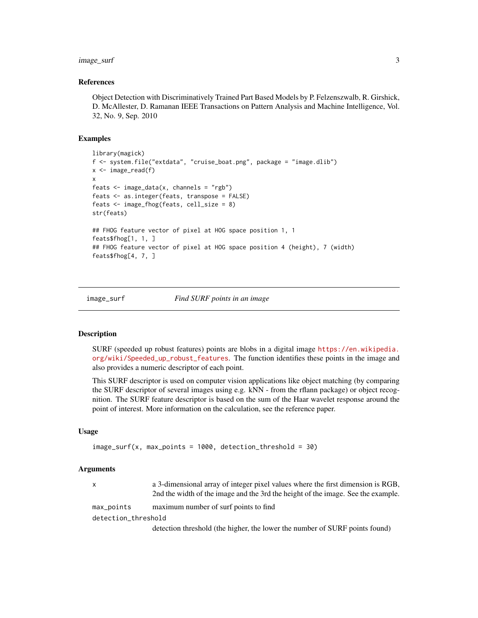#### <span id="page-2-0"></span>image\_surf 3

#### References

Object Detection with Discriminatively Trained Part Based Models by P. Felzenszwalb, R. Girshick, D. McAllester, D. Ramanan IEEE Transactions on Pattern Analysis and Machine Intelligence, Vol. 32, No. 9, Sep. 2010

#### Examples

```
library(magick)
f <- system.file("extdata", "cruise_boat.png", package = "image.dlib")
x \leftarrow \text{image\_read}(f)x
feats \leq image_data(x, channels = "rgb")
feats <- as.integer(feats, transpose = FALSE)
feats <- image_fhog(feats, cell_size = 8)
str(feats)
## FHOG feature vector of pixel at HOG space position 1, 1
feats$fhog[1, 1, ]
## FHOG feature vector of pixel at HOG space position 4 (height), 7 (width)
feats$fhog[4, 7, ]
```
#### image\_surf *Find SURF points in an image*

#### Description

SURF (speeded up robust features) points are blobs in a digital image [https://en.wikipedia.](https://en.wikipedia.org/wiki/Speeded_up_robust_features) [org/wiki/Speeded\\_up\\_robust\\_features](https://en.wikipedia.org/wiki/Speeded_up_robust_features). The function identifies these points in the image and also provides a numeric descriptor of each point.

This SURF descriptor is used on computer vision applications like object matching (by comparing the SURF descriptor of several images using e.g. kNN - from the rflann package) or object recognition. The SURF feature descriptor is based on the sum of the Haar wavelet response around the point of interest. More information on the calculation, see the reference paper.

#### Usage

```
image_surf(x, max_points = 1000, detection_threshold = 30)
```
#### Arguments

| $\mathsf{x}$        | a 3-dimensional array of integer pixel values where the first dimension is RGB,<br>2nd the width of the image and the 3rd the height of the image. See the example. |
|---------------------|---------------------------------------------------------------------------------------------------------------------------------------------------------------------|
| max_points          | maximum number of surf points to find                                                                                                                               |
| detection_threshold |                                                                                                                                                                     |
|                     | detection threshold (the higher, the lower the number of SURF points found)                                                                                         |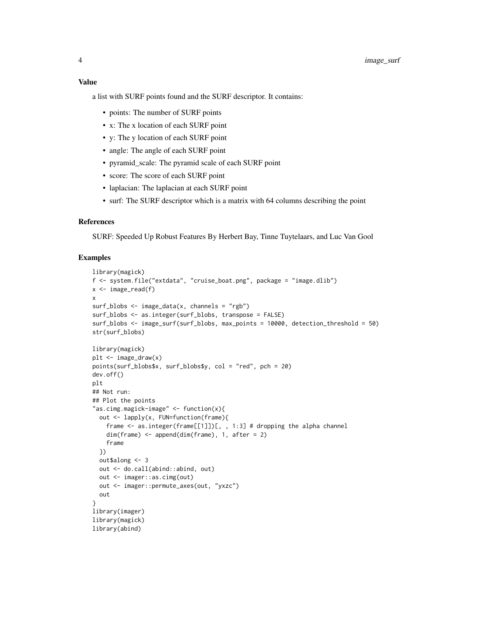#### Value

a list with SURF points found and the SURF descriptor. It contains:

- points: The number of SURF points
- x: The x location of each SURF point
- y: The y location of each SURF point
- angle: The angle of each SURF point
- pyramid\_scale: The pyramid scale of each SURF point
- score: The score of each SURF point
- laplacian: The laplacian at each SURF point
- surf: The SURF descriptor which is a matrix with 64 columns describing the point

#### References

SURF: Speeded Up Robust Features By Herbert Bay, Tinne Tuytelaars, and Luc Van Gool

#### Examples

```
library(magick)
f <- system.file("extdata", "cruise_boat.png", package = "image.dlib")
x \leftarrow \text{image\_read}(f)x
surf_blobs \leq image_data(x, channels = "rgb")
surf_blobs <- as.integer(surf_blobs, transpose = FALSE)
surf_blobs <- image_surf(surf_blobs, max_points = 10000, detection_threshold = 50)
str(surf_blobs)
library(magick)
plt \leftarrow image_{draw(x)}points(surf_blobs$x, surf_blobs$y, col = "red", pch = 20)
dev.off()
plt
## Not run:
## Plot the points
"as.cimg.magick-image" <- function(x){
 out <- lapply(x, FUN=function(frame){
    frame \leq as.integer(frame[[1]])[, , 1:3] # dropping the alpha channel
    dim(frame) <- append(dim(frame), 1, after = 2)
    frame
  })
  out$along <- 3
  out <- do.call(abind::abind, out)
  out <- imager::as.cimg(out)
  out <- imager::permute_axes(out, "yxzc")
  out
}
library(imager)
library(magick)
library(abind)
```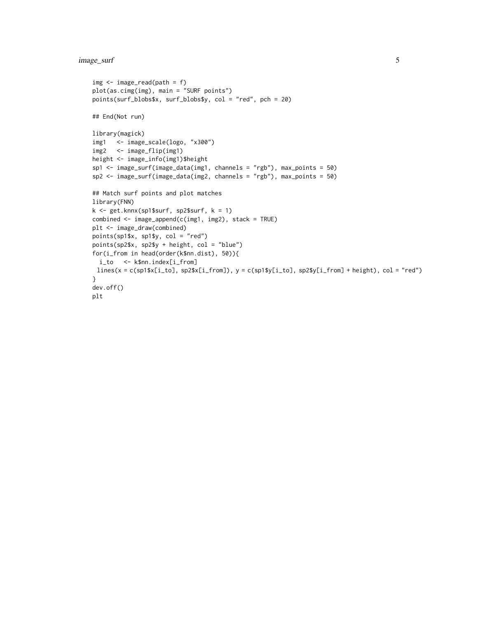#### image\_surf 5

```
img \leftarrow image\_read(path = f)plot(as.cimg(img), main = "SURF points")
points(surf_blobs$x, surf_blobs$y, col = "red", pch = 20)
## End(Not run)
library(magick)
img1 <- image_scale(logo, "x300")
img2 <- image_flip(img1)
height <- image_info(img1)$height
sp1 <- image_surf(image_data(img1, channels = "rgb"), max_points = 50)
sp2 <- image_surf(image_data(img2, channels = "rgb"), max_points = 50)
## Match surf points and plot matches
library(FNN)
k <- get.knnx(sp1$surf, sp2$surf, k = 1)
combined <- image_append(c(img1, img2), stack = TRUE)
plt <- image_draw(combined)
points(sp1$x, sp1$y, col = "red")
points(sp2$x, sp2$y + height, col = "blue")
for(i_from in head(order(k$nn.dist), 50)){
 i_to <- k$nn.index[i_from]
 lines(x = c(sp1$x[i_to], sp2$x[i_from]), y = c(sp1$y[i_to], sp2$y[i_from] + height), col = "red")
}
dev.off()
plt
```